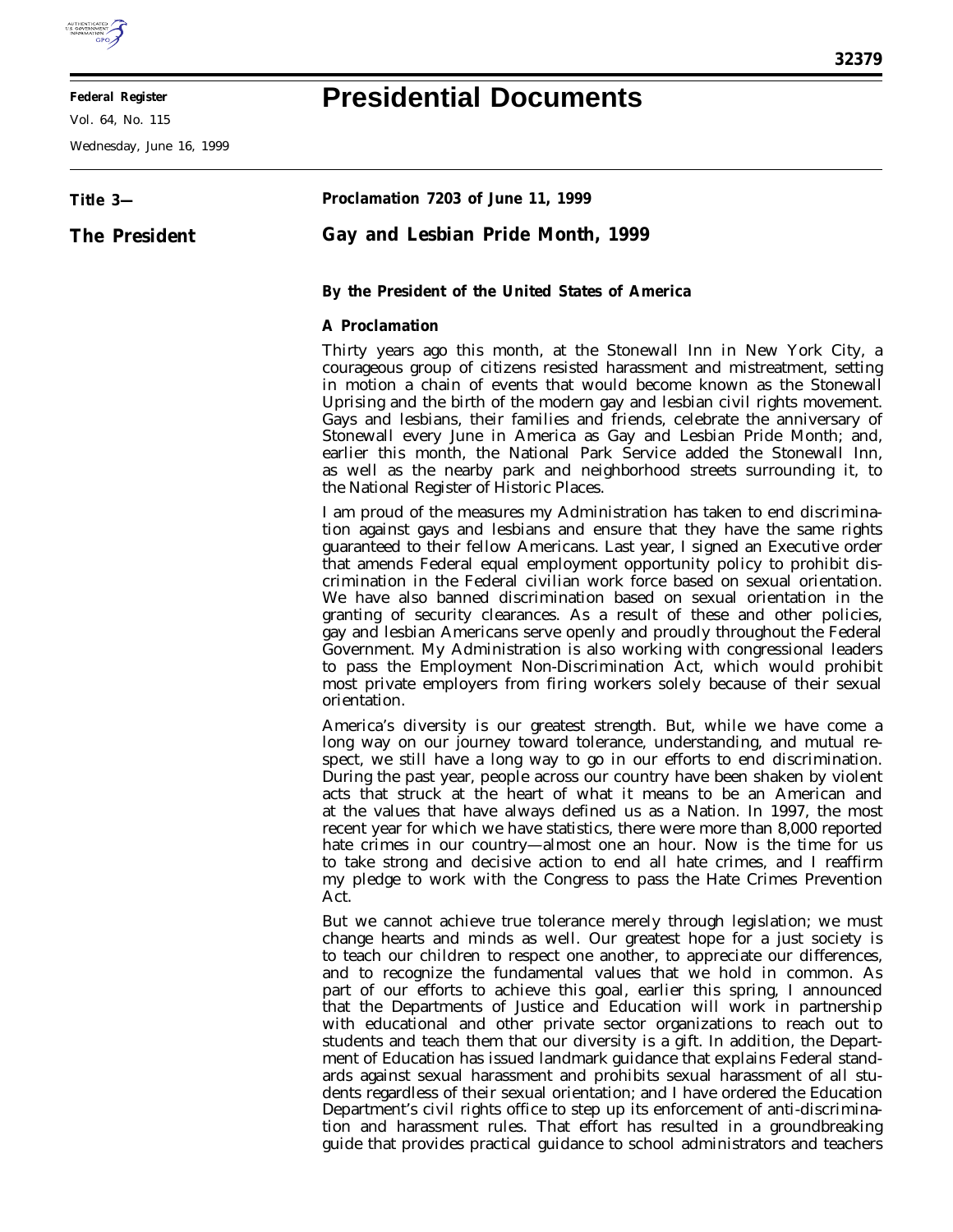

## **Federal Register**

Vol. 64, No. 115

Wednesday, June 16, 1999

## **Presidential Documents**

| Title 3-             | Proclamation 7203 of June 11, 1999                                                                                                                                                                                                                                                                                                                                                                                                                                                                                                                                                                                                                                                                                                                                                                                                                                                  |
|----------------------|-------------------------------------------------------------------------------------------------------------------------------------------------------------------------------------------------------------------------------------------------------------------------------------------------------------------------------------------------------------------------------------------------------------------------------------------------------------------------------------------------------------------------------------------------------------------------------------------------------------------------------------------------------------------------------------------------------------------------------------------------------------------------------------------------------------------------------------------------------------------------------------|
| <b>The President</b> | Gay and Lesbian Pride Month, 1999                                                                                                                                                                                                                                                                                                                                                                                                                                                                                                                                                                                                                                                                                                                                                                                                                                                   |
|                      | By the President of the United States of America                                                                                                                                                                                                                                                                                                                                                                                                                                                                                                                                                                                                                                                                                                                                                                                                                                    |
|                      | <b>A</b> Proclamation                                                                                                                                                                                                                                                                                                                                                                                                                                                                                                                                                                                                                                                                                                                                                                                                                                                               |
|                      | Thirty years ago this month, at the Stonewall Inn in New York City, a<br>courageous group of citizens resisted harassment and mistreatment, setting<br>in motion a chain of events that would become known as the Stonewall<br>Uprising and the birth of the modern gay and lesbian civil rights movement.<br>Gays and lesbians, their families and friends, celebrate the anniversary of<br>Stonewall every June in America as Gay and Lesbian Pride Month; and,<br>earlier this month, the National Park Service added the Stonewall Inn,<br>as well as the nearby park and neighborhood streets surrounding it, to<br>the National Register of Historic Places.                                                                                                                                                                                                                  |
|                      | I am proud of the measures my Administration has taken to end discrimina-<br>tion against gays and lesbians and ensure that they have the same rights<br>guaranteed to their fellow Americans. Last year, I signed an Executive order<br>that amends Federal equal employment opportunity policy to prohibit dis-<br>crimination in the Federal civilian work force based on sexual orientation.<br>We have also banned discrimination based on sexual orientation in the<br>granting of security clearances. As a result of these and other policies,<br>gay and lesbian Americans serve openly and proudly throughout the Federal<br>Government. My Administration is also working with congressional leaders<br>to pass the Employment Non-Discrimination Act, which would prohibit<br>most private employers from firing workers solely because of their sexual<br>orientation. |
|                      | America's diversity is our greatest strength. But, while we have come a<br>long way on our journey toward tolerance, understanding, and mutual re-<br>spect, we still have a long way to go in our efforts to end discrimination.<br>During the past year, people across our country have been shaken by violent<br>acts that struck at the heart of what it means to be an American and<br>at the values that have always defined us as a Nation. In 1997, the most<br>recent year for which we have statistics, there were more than 8,000 reported<br>hate crimes in our country—almost one an hour. Now is the time for us<br>to take strong and decisive action to end all hate crimes, and I reaffirm<br>my pledge to work with the Congress to pass the Hate Crimes Prevention<br>Act.                                                                                       |
|                      | But we cannot achieve true tolerance merely through legislation; we must<br>change hearts and minds as well. Our greatest hope for a just society is<br>to teach our children to respect one another, to appreciate our differences,<br>and to recognize the fundamental values that we hold in common. As<br>part of our efforts to achieve this goal, earlier this spring, I announced<br>that the Departments of Justice and Education will work in partnership<br>with educational and other private sector organizations to reach out to<br>students and teach them that our diversity is a gift. In addition, the Depart-                                                                                                                                                                                                                                                     |

ment of Education has issued landmark guidance that explains Federal standards against sexual harassment and prohibits sexual harassment of all students regardless of their sexual orientation; and I have ordered the Education Department's civil rights office to step up its enforcement of anti-discrimination and harassment rules. That effort has resulted in a groundbreaking guide that provides practical guidance to school administrators and teachers